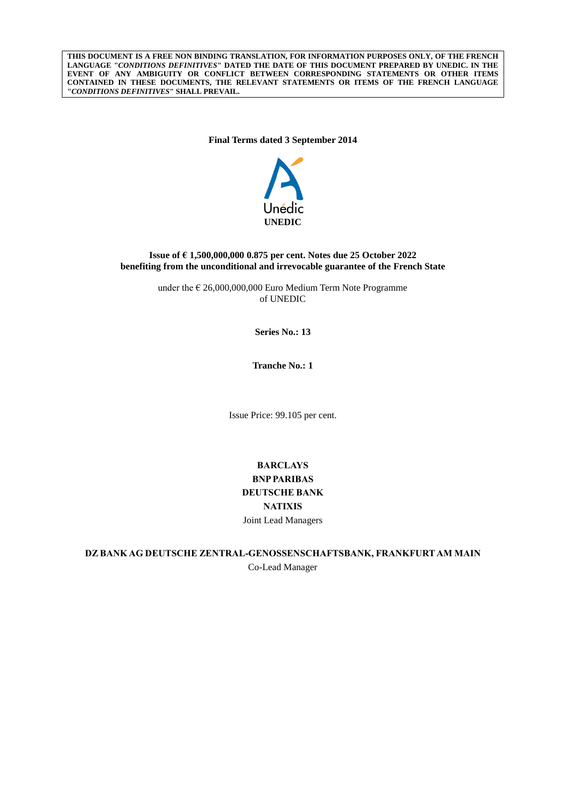**THIS DOCUMENT IS A FREE NON BINDING TRANSLATION, FOR INFORMATION PURPOSES ONLY, OF THE FRENCH LANGUAGE "***CONDITIONS DEFINITIVES***" DATED THE DATE OF THIS DOCUMENT PREPARED BY UNEDIC. IN THE EVENT OF ANY AMBIGUITY OR CONFLICT BETWEEN CORRESPONDING STATEMENTS OR OTHER ITEMS CONTAINED IN THESE DOCUMENTS, THE RELEVANT STATEMENTS OR ITEMS OF THE FRENCH LANGUAGE "***CONDITIONS DEFINITIVES***" SHALL PREVAIL.**

**Final Terms dated 3 September 2014**



## **Issue of € 1,500,000,000 0.875 per cent. Notes due 25 October 2022 benefiting from the unconditional and irrevocable guarantee of the French State**

under the  $\epsilon$  26,000,000,000 Euro Medium Term Note Programme of UNEDIC

**Series No.: 13**

**Tranche No.: 1**

Issue Price: 99.105 per cent.

# **BARCLAYS BNP PARIBAS DEUTSCHE BANK NATIXIS** Joint Lead Managers

**DZ BANK AG DEUTSCHE ZENTRAL-GENOSSENSCHAFTSBANK, FRANKFURTAM MAIN** Co-Lead Manager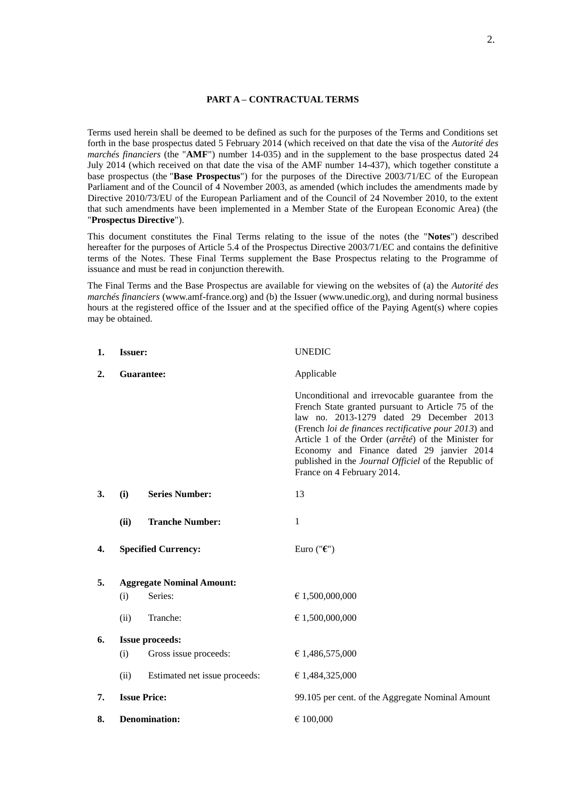# **PART A – CONTRACTUAL TERMS**

Terms used herein shall be deemed to be defined as such for the purposes of the Terms and Conditions set forth in the base prospectus dated 5 February 2014 (which received on that date the visa of the *Autorité des marchés financiers* (the "**AMF**") number 14-035) and in the supplement to the base prospectus dated 24 July 2014 (which received on that date the visa of the AMF number 14-437), which together constitute a base prospectus (the "**Base Prospectus**") for the purposes of the Directive 2003/71/EC of the European Parliament and of the Council of 4 November 2003, as amended (which includes the amendments made by Directive 2010/73/EU of the European Parliament and of the Council of 24 November 2010, to the extent that such amendments have been implemented in a Member State of the European Economic Area) (the "**Prospectus Directive**").

This document constitutes the Final Terms relating to the issue of the notes (the "**Notes**") described hereafter for the purposes of Article 5.4 of the Prospectus Directive 2003/71/EC and contains the definitive terms of the Notes. These Final Terms supplement the Base Prospectus relating to the Programme of issuance and must be read in conjunction therewith.

The Final Terms and the Base Prospectus are available for viewing on the websites of (a) the *Autorité des marchés financiers* (www.amf-france.org) and (b) the Issuer (www.unedic.org), and during normal business hours at the registered office of the Issuer and at the specified office of the Paying Agent(s) where copies may be obtained.

| 1. | <b>Issuer:</b>       |                                  | <b>UNEDIC</b>                                                                                                                                                                                                                                                                                                                                                                                        |
|----|----------------------|----------------------------------|------------------------------------------------------------------------------------------------------------------------------------------------------------------------------------------------------------------------------------------------------------------------------------------------------------------------------------------------------------------------------------------------------|
| 2. | <b>Guarantee:</b>    |                                  | Applicable                                                                                                                                                                                                                                                                                                                                                                                           |
|    |                      |                                  | Unconditional and irrevocable guarantee from the<br>French State granted pursuant to Article 75 of the<br>law no. 2013-1279 dated 29 December 2013<br>(French loi de finances rectificative pour 2013) and<br>Article 1 of the Order (arrêté) of the Minister for<br>Economy and Finance dated 29 janvier 2014<br>published in the Journal Officiel of the Republic of<br>France on 4 February 2014. |
| 3. | (i)                  | <b>Series Number:</b>            | 13                                                                                                                                                                                                                                                                                                                                                                                                   |
|    | (ii)                 | <b>Tranche Number:</b>           | 1                                                                                                                                                                                                                                                                                                                                                                                                    |
| 4. |                      | <b>Specified Currency:</b>       | Euro (" $\epsilon$ ")                                                                                                                                                                                                                                                                                                                                                                                |
| 5. |                      | <b>Aggregate Nominal Amount:</b> |                                                                                                                                                                                                                                                                                                                                                                                                      |
|    | (i)                  | Series:                          | € 1,500,000,000                                                                                                                                                                                                                                                                                                                                                                                      |
|    | (ii)                 | Tranche:                         | € 1,500,000,000                                                                                                                                                                                                                                                                                                                                                                                      |
| 6. |                      | <b>Issue proceeds:</b>           |                                                                                                                                                                                                                                                                                                                                                                                                      |
|    | (i)                  | Gross issue proceeds:            | € 1,486,575,000                                                                                                                                                                                                                                                                                                                                                                                      |
|    | (ii)                 | Estimated net issue proceeds:    | € 1,484,325,000                                                                                                                                                                                                                                                                                                                                                                                      |
| 7. | <b>Issue Price:</b>  |                                  | 99.105 per cent. of the Aggregate Nominal Amount                                                                                                                                                                                                                                                                                                                                                     |
| 8. | <b>Denomination:</b> |                                  | € 100,000                                                                                                                                                                                                                                                                                                                                                                                            |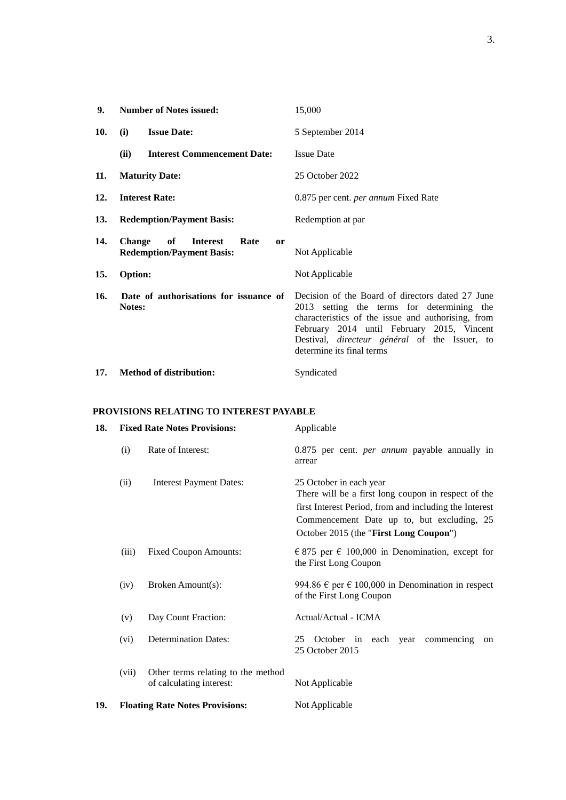| 9.         | <b>Number of Notes issued:</b>                                                                  | 15,000                                                                                                                                                                                                                                                                                  |
|------------|-------------------------------------------------------------------------------------------------|-----------------------------------------------------------------------------------------------------------------------------------------------------------------------------------------------------------------------------------------------------------------------------------------|
| 10.        | <b>Issue Date:</b><br>(i)                                                                       | 5 September 2014                                                                                                                                                                                                                                                                        |
|            | <b>Interest Commencement Date:</b><br>(ii)                                                      | <b>Issue Date</b>                                                                                                                                                                                                                                                                       |
| 11.        | <b>Maturity Date:</b>                                                                           | 25 October 2022                                                                                                                                                                                                                                                                         |
| 12.        | <b>Interest Rate:</b>                                                                           | 0.875 per cent. <i>per annum</i> Fixed Rate                                                                                                                                                                                                                                             |
| <b>13.</b> | <b>Redemption/Payment Basis:</b>                                                                | Redemption at par                                                                                                                                                                                                                                                                       |
| 14.        | <b>Change</b><br>of<br><b>Interest</b><br>Rate<br><b>or</b><br><b>Redemption/Payment Basis:</b> | Not Applicable                                                                                                                                                                                                                                                                          |
| 15.        | Option:                                                                                         | Not Applicable                                                                                                                                                                                                                                                                          |
| 16.        | Date of authorisations for issuance of<br>Notes:                                                | Decision of the Board of directors dated 27 June<br>2013 setting the terms for determining the<br>characteristics of the issue and authorising, from<br>February 2014 until February 2015, Vincent<br>Destival, <i>directeur général</i> of the Issuer, to<br>determine its final terms |
| 17.        | <b>Method of distribution:</b>                                                                  | Syndicated                                                                                                                                                                                                                                                                              |

## **PROVISIONS RELATING TO INTEREST PAYABLE**

| 18. |       | <b>Fixed Rate Notes Provisions:</b>                            | Applicable                                                                                                                                                                                                                       |
|-----|-------|----------------------------------------------------------------|----------------------------------------------------------------------------------------------------------------------------------------------------------------------------------------------------------------------------------|
|     | (i)   | Rate of Interest:                                              | 0.875 per cent. <i>per annum</i> payable annually in<br>arrear                                                                                                                                                                   |
|     | (ii)  | <b>Interest Payment Dates:</b>                                 | 25 October in each year<br>There will be a first long coupon in respect of the<br>first Interest Period, from and including the Interest<br>Commencement Date up to, but excluding, 25<br>October 2015 (the "First Long Coupon") |
|     | (iii) | <b>Fixed Coupon Amounts:</b>                                   | € 875 per € 100,000 in Denomination, except for<br>the First Long Coupon                                                                                                                                                         |
|     | (iv)  | Broken Amount(s):                                              | 994.86 $\epsilon$ per $\epsilon$ 100,000 in Denomination in respect<br>of the First Long Coupon                                                                                                                                  |
|     | (v)   | Day Count Fraction:                                            | Actual/Actual - ICMA                                                                                                                                                                                                             |
|     | (vi)  | <b>Determination Dates:</b>                                    | 25<br>October in each year<br>commencing<br><sub>on</sub><br>25 October 2015                                                                                                                                                     |
|     | (vii) | Other terms relating to the method<br>of calculating interest: | Not Applicable                                                                                                                                                                                                                   |
| 19. |       | <b>Floating Rate Notes Provisions:</b>                         | Not Applicable                                                                                                                                                                                                                   |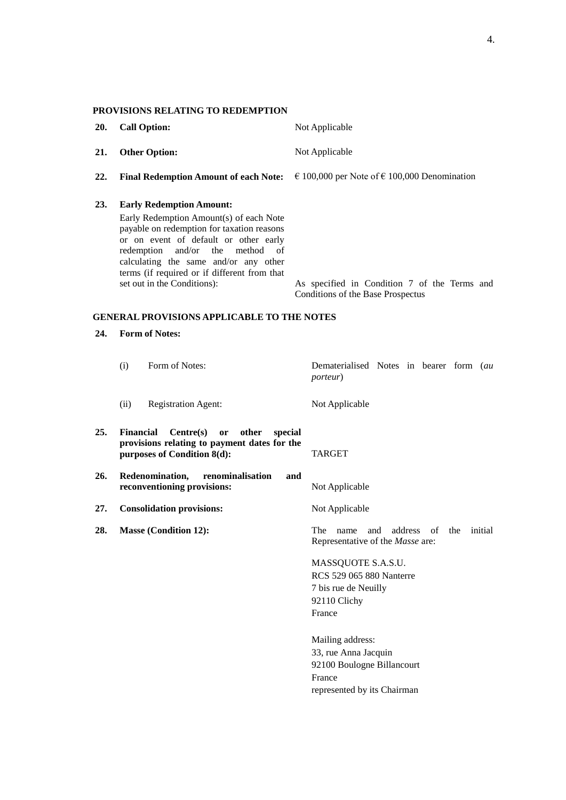| 20. | <b>Call Option:</b>                                                                                                                                                                                                                                                                                                                      | Not Applicable                                                                                                       |
|-----|------------------------------------------------------------------------------------------------------------------------------------------------------------------------------------------------------------------------------------------------------------------------------------------------------------------------------------------|----------------------------------------------------------------------------------------------------------------------|
| 21. | <b>Other Option:</b>                                                                                                                                                                                                                                                                                                                     | Not Applicable                                                                                                       |
| 22. | <b>Final Redemption Amount of each Note:</b>                                                                                                                                                                                                                                                                                             | € 100,000 per Note of € 100,000 Denomination                                                                         |
| 23. | <b>Early Redemption Amount:</b><br>Early Redemption Amount(s) of each Note<br>payable on redemption for taxation reasons<br>or on event of default or other early<br>and/or<br>method<br>redemption<br>the<br>of<br>calculating the same and/or any other<br>terms (if required or if different from that<br>set out in the Conditions): | As specified in Condition 7 of the Terms and<br>Conditions of the Base Prospectus                                    |
|     | <b>GENERAL PROVISIONS APPLICABLE TO THE NOTES</b>                                                                                                                                                                                                                                                                                        |                                                                                                                      |
| 24. | <b>Form of Notes:</b>                                                                                                                                                                                                                                                                                                                    |                                                                                                                      |
|     | Form of Notes:<br>(i)                                                                                                                                                                                                                                                                                                                    | Dematerialised Notes in bearer form (au<br><i>porteur</i> )                                                          |
|     | <b>Registration Agent:</b><br>(ii)                                                                                                                                                                                                                                                                                                       | Not Applicable                                                                                                       |
| 25. | <b>Financial</b><br>Centre(s)<br>other<br>special<br>or<br>provisions relating to payment dates for the<br>purposes of Condition 8(d):                                                                                                                                                                                                   | TARGET                                                                                                               |
| 26. | Redenomination,<br>renominalisation<br>reconventioning provisions:                                                                                                                                                                                                                                                                       | and<br>Not Applicable                                                                                                |
| 27. | <b>Consolidation provisions:</b>                                                                                                                                                                                                                                                                                                         | Not Applicable                                                                                                       |
| 28. | <b>Masse (Condition 12):</b>                                                                                                                                                                                                                                                                                                             | address<br>The<br>and<br>of<br>the<br>initial<br>name<br>Representative of the Masse are:                            |
|     |                                                                                                                                                                                                                                                                                                                                          | MASSQUOTE S.A.S.U.<br>RCS 529 065 880 Nanterre<br>7 bis rue de Neuilly<br>92110 Clichy<br>France<br>Mailing address: |
|     |                                                                                                                                                                                                                                                                                                                                          | 33, rue Anna Jacquin<br>92100 Boulogne Billancourt<br>France<br>represented by its Chairman                          |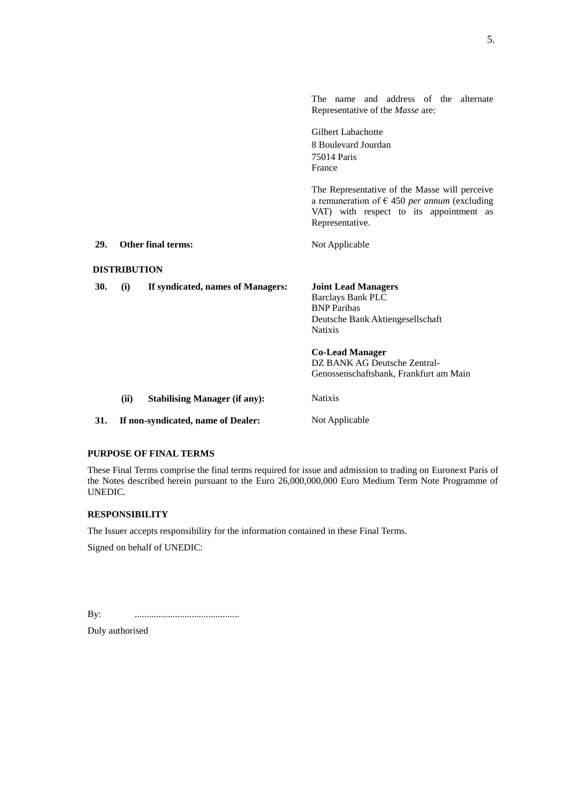|     |                     |                                      | The name and address of the alternate<br>Representative of the <i>Masse</i> are:                                                                                            |
|-----|---------------------|--------------------------------------|-----------------------------------------------------------------------------------------------------------------------------------------------------------------------------|
|     |                     |                                      | <b>Gilbert Labachotte</b><br>8 Boulevard Jourdan<br>75014 Paris<br>France                                                                                                   |
|     |                     |                                      | The Representative of the Masse will perceive<br>a remuneration of $\epsilon$ 450 <i>per annum</i> (excluding<br>VAT) with respect to its appointment as<br>Representative. |
| 29. |                     | Other final terms:                   | Not Applicable                                                                                                                                                              |
|     | <b>DISTRIBUTION</b> |                                      |                                                                                                                                                                             |
| 30. | (i)                 | If syndicated, names of Managers:    | <b>Joint Lead Managers</b><br><b>Barclays Bank PLC</b><br><b>BNP</b> Paribas<br>Deutsche Bank Aktiengesellschaft<br><b>Natixis</b>                                          |
|     |                     |                                      | <b>Co-Lead Manager</b><br>DZ BANK AG Deutsche Zentral-<br>Genossenschaftsbank, Frankfurt am Main                                                                            |
|     | (ii)                | <b>Stabilising Manager (if any):</b> | <b>Natixis</b>                                                                                                                                                              |
| 31. |                     | If non-syndicated, name of Dealer:   | Not Applicable                                                                                                                                                              |

#### **PURPOSE OF FINAL TERMS**

These Final Terms comprise the final terms required for issue and admission to trading on Euronext Paris of the Notes described herein pursuant to the Euro 26,000,000,000 Euro Medium Term Note Programme of UNEDIC.

### **RESPONSIBILITY**

The Issuer accepts responsibility for the information contained in these Final Terms.

Signed on behalf of UNEDIC:

By: ............................................

Duly authorised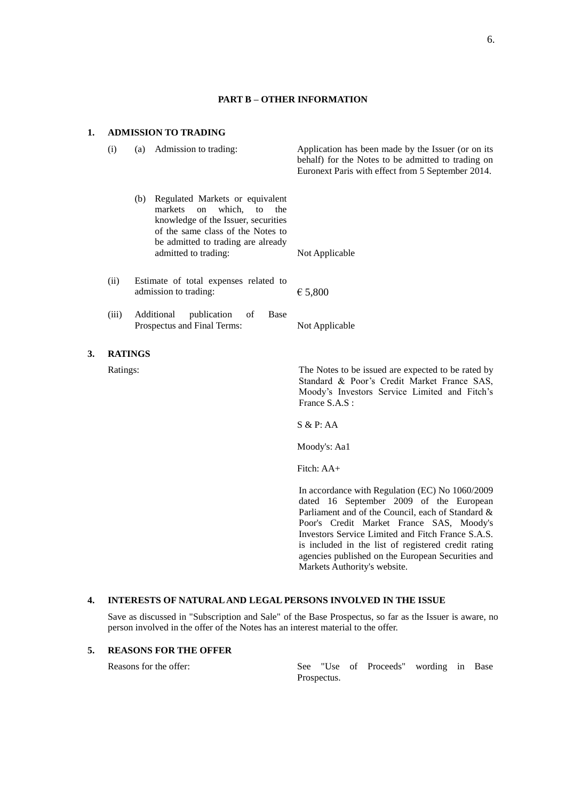#### **PART B – OTHER INFORMATION**

#### **1. ADMISSION TO TRADING**

**3.** 

| (i)            | (a) | Admission to trading:                                                                                                                                                                                                | Application has been made by the Issuer (or on its<br>behalf) for the Notes to be admitted to trading on<br>Euronext Paris with effect from 5 September 2014.       |
|----------------|-----|----------------------------------------------------------------------------------------------------------------------------------------------------------------------------------------------------------------------|---------------------------------------------------------------------------------------------------------------------------------------------------------------------|
|                | (b) | Regulated Markets or equivalent<br>which, to<br>markets<br>$\alpha$<br>the<br>knowledge of the Issuer, securities<br>of the same class of the Notes to<br>be admitted to trading are already<br>admitted to trading: | Not Applicable                                                                                                                                                      |
| (ii)           |     | Estimate of total expenses related to<br>admission to trading:                                                                                                                                                       | € 5,800                                                                                                                                                             |
| (iii)          |     | Additional<br>publication<br><b>Base</b><br>of<br>Prospectus and Final Terms:                                                                                                                                        | Not Applicable                                                                                                                                                      |
| <b>RATINGS</b> |     |                                                                                                                                                                                                                      |                                                                                                                                                                     |
| Ratings:       |     |                                                                                                                                                                                                                      | The Notes to be issued are expected to be rated by<br>Standard & Poor's Credit Market France SAS,<br>Moody's Investors Service Limited and Fitch's<br>France S.A.S: |
|                |     |                                                                                                                                                                                                                      | S & P: AA                                                                                                                                                           |
|                |     |                                                                                                                                                                                                                      | Moody's: Aa1                                                                                                                                                        |

Fitch: AA+

In accordance with Regulation (EC) No 1060/2009 dated 16 September 2009 of the European Parliament and of the Council, each of Standard & Poor's Credit Market France SAS, Moody's Investors Service Limited and Fitch France S.A.S. is included in the list of registered credit rating agencies published on the European Securities and Markets Authority's website.

#### **4. INTERESTS OF NATURAL AND LEGAL PERSONS INVOLVED IN THE ISSUE**

Save as discussed in "Subscription and Sale" of the Base Prospectus, so far as the Issuer is aware, no person involved in the offer of the Notes has an interest material to the offer.

# **5. REASONS FOR THE OFFER**

Reasons for the offer: See "Use of Proceeds" wording in Base Prospectus.